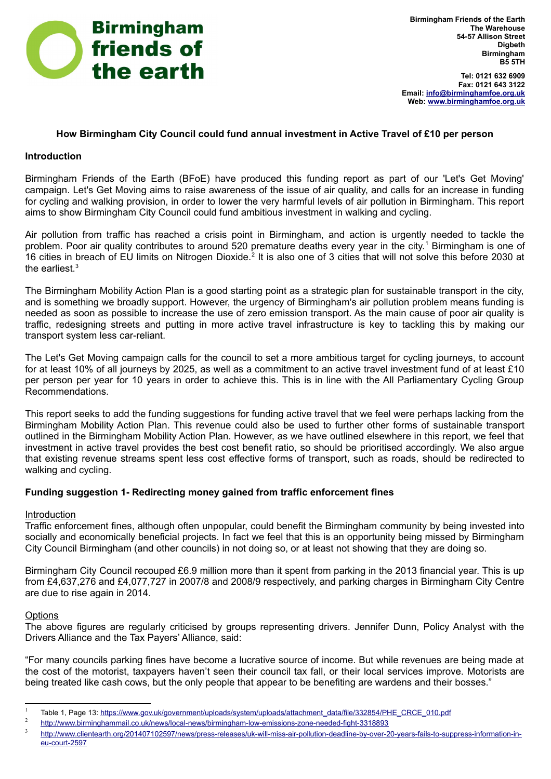

**Tel: 0121 632 6909 Fax: 0121 643 3122 Email: [info@birminghamfoe.org.uk](mailto:info@birminghamfoe.org.uk) Web: [www.birminghamfoe.org.uk](http://www.birminghamfoe.org.uk/)**

# **How Birmingham City Council could fund annual investment in Active Travel of £10 per person**

## **Introduction**

Birmingham Friends of the Earth (BFoE) have produced this funding report as part of our 'Let's Get Moving' campaign. Let's Get Moving aims to raise awareness of the issue of air quality, and calls for an increase in funding for cycling and walking provision, in order to lower the very harmful levels of air pollution in Birmingham. This report aims to show Birmingham City Council could fund ambitious investment in walking and cycling.

Air pollution from traffic has reached a crisis point in Birmingham, and action is urgently needed to tackle the problem. Poor air quality contributes to around 520 premature deaths every year in the city.<sup>[1](#page-0-0)</sup> Birmingham is one of 16 cities in breach of EU limits on Nitrogen Dioxide.<sup>[2](#page-0-1)</sup> It is also one of 3 cities that will not solve this before 2030 at the earliest  $3$ 

The Birmingham Mobility Action Plan is a good starting point as a strategic plan for sustainable transport in the city, and is something we broadly support. However, the urgency of Birmingham's air pollution problem means funding is needed as soon as possible to increase the use of zero emission transport. As the main cause of poor air quality is traffic, redesigning streets and putting in more active travel infrastructure is key to tackling this by making our transport system less car-reliant.

The Let's Get Moving campaign calls for the council to set a more ambitious target for cycling journeys, to account for at least 10% of all journeys by 2025, as well as a commitment to an active travel investment fund of at least £10 per person per year for 10 years in order to achieve this. This is in line with the All Parliamentary Cycling Group Recommendations.

This report seeks to add the funding suggestions for funding active travel that we feel were perhaps lacking from the Birmingham Mobility Action Plan. This revenue could also be used to further other forms of sustainable transport outlined in the Birmingham Mobility Action Plan. However, as we have outlined elsewhere in this report, we feel that investment in active travel provides the best cost benefit ratio, so should be prioritised accordingly. We also argue that existing revenue streams spent less cost effective forms of transport, such as roads, should be redirected to walking and cycling.

## **Funding suggestion 1- Redirecting money gained from traffic enforcement fines**

## Introduction

Traffic enforcement fines, although often unpopular, could benefit the Birmingham community by being invested into socially and economically beneficial projects. In fact we feel that this is an opportunity being missed by Birmingham City Council Birmingham (and other councils) in not doing so, or at least not showing that they are doing so.

Birmingham City Council recouped £6.9 million more than it spent from parking in the 2013 financial year. This is up from £4,637,276 and £4,077,727 in 2007/8 and 2008/9 respectively, and parking charges in Birmingham City Centre are due to rise again in 2014.

## **Options**

The above figures are regularly criticised by groups representing drivers. Jennifer Dunn, Policy Analyst with the Drivers Alliance and the Tax Payers' Alliance, said:

"For many councils parking fines have become a lucrative source of income. But while revenues are being made at the cost of the motorist, taxpayers haven't seen their council tax fall, or their local services improve. Motorists are being treated like cash cows, but the only people that appear to be benefiting are wardens and their bosses."

<span id="page-0-0"></span><sup>1</sup> Table 1, Page 13: [https://www.gov.uk/government/uploads/system/uploads/attachment\\_data/file/332854/PHE\\_CRCE\\_010.pdf](https://www.gov.uk/government/uploads/system/uploads/attachment_data/file/332854/PHE_CRCE_010.pdf)

<span id="page-0-1"></span><sup>2</sup> <http://www.birminghammail.co.uk/news/local-news/birmingham-low-emissions-zone-needed-fight-3318893>

<span id="page-0-2"></span><sup>3</sup> [http://www.clientearth.org/201407102597/news/press-releases/uk-will-miss-air-pollution-deadline-by-over-20-years-fails-to-suppress-information-in](http://www.clientearth.org/201407102597/news/press-releases/uk-will-miss-air-pollution-deadline-by-over-20-years-fails-to-suppress-information-in-eu-court-2597)[eu-court-2597](http://www.clientearth.org/201407102597/news/press-releases/uk-will-miss-air-pollution-deadline-by-over-20-years-fails-to-suppress-information-in-eu-court-2597)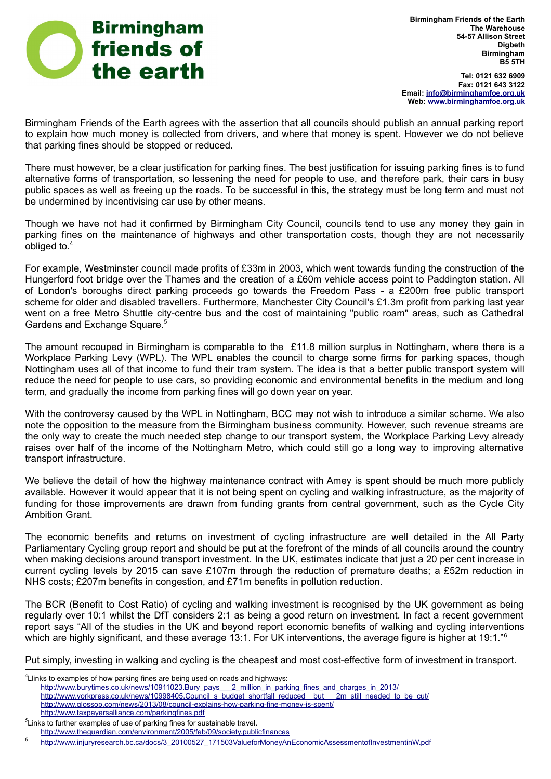

**Birmingham Friends of the Earth The Warehouse 54-57 Allison Street Digbeth Birmingham B5 5TH**

**Tel: 0121 632 6909 Fax: 0121 643 3122 Email: [info@birminghamfoe.org.uk](mailto:info@birminghamfoe.org.uk) Web: [www.birminghamfoe.org.uk](http://www.birminghamfoe.org.uk/)**

Birmingham Friends of the Earth agrees with the assertion that all councils should publish an annual parking report to explain how much money is collected from drivers, and where that money is spent. However we do not believe that parking fines should be stopped or reduced.

There must however, be a clear justification for parking fines. The best justification for issuing parking fines is to fund alternative forms of transportation, so lessening the need for people to use, and therefore park, their cars in busy public spaces as well as freeing up the roads. To be successful in this, the strategy must be long term and must not be undermined by incentivising car use by other means.

Though we have not had it confirmed by Birmingham City Council, councils tend to use any money they gain in parking fines on the maintenance of highways and other transportation costs, though they are not necessarily obliged to.[4](#page-1-0)

For example, Westminster council made profits of £33m in 2003, which went towards funding the construction of the Hungerford foot bridge over the Thames and the creation of a £60m vehicle access point to Paddington station. All of London's boroughs direct parking proceeds go towards the Freedom Pass - a £200m free public transport scheme for older and disabled travellers. Furthermore, Manchester City Council's £1.3m profit from parking last year went on a free Metro Shuttle city-centre bus and the cost of maintaining "public roam" areas, such as Cathedral Gardens and Exchange Square.[5](#page-1-1)

The amount recouped in Birmingham is comparable to the £11.8 million surplus in Nottingham, where there is a Workplace Parking Levy (WPL). The WPL enables the council to charge some firms for parking spaces, though Nottingham uses all of that income to fund their tram system. The idea is that a better public transport system will reduce the need for people to use cars, so providing economic and environmental benefits in the medium and long term, and gradually the income from parking fines will go down year on year.

With the controversy caused by the WPL in Nottingham, BCC may not wish to introduce a similar scheme. We also note the opposition to the measure from the Birmingham business community. However, such revenue streams are the only way to create the much needed step change to our transport system, the Workplace Parking Levy already raises over half of the income of the Nottingham Metro, which could still go a long way to improving alternative transport infrastructure.

We believe the detail of how the highway maintenance contract with Amey is spent should be much more publicly available. However it would appear that it is not being spent on cycling and walking infrastructure, as the majority of funding for those improvements are drawn from funding grants from central government, such as the Cycle City Ambition Grant.

The economic benefits and returns on investment of cycling infrastructure are well detailed in the All Party Parliamentary Cycling group report and should be put at the forefront of the minds of all councils around the country when making decisions around transport investment. In the UK, estimates indicate that just a 20 per cent increase in current cycling levels by 2015 can save £107m through the reduction of premature deaths; a £52m reduction in NHS costs; £207m benefits in congestion, and £71m benefits in pollution reduction.

The BCR (Benefit to Cost Ratio) of cycling and walking investment is recognised by the UK government as being regularly over 10:1 whilst the DfT considers 2:1 as being a good return on investment. In fact a recent government report says "All of the studies in the UK and beyond report economic benefits of walking and cycling interventions which are highly significant, and these average 13:1. For UK interventions, the average figure is higher at 19:1."<sup>[6](#page-1-2)</sup>

Put simply, investing in walking and cycling is the cheapest and most cost-effective form of investment in transport.

<span id="page-1-0"></span> $4$ Llinks to examples of how parking fines are being used on roads and highways: [http://www.burytimes.co.uk/news/10911023.Bury\\_pays\\_\\_\\_2\\_million\\_in\\_parking\\_fines\\_and\\_charges\\_in\\_2013/](http://www.burytimes.co.uk/news/10911023.Bury_pays___2_million_in_parking_fines_and_charges_in_2013/) [http://www.yorkpress.co.uk/news/10998405.Council\\_s\\_budget\\_shortfall\\_reduced\\_\\_but\\_\\_\\_2m\\_still\\_needed\\_to\\_be\\_cut/](http://www.yorkpress.co.uk/news/10998405.Council_s_budget_shortfall_reduced__but___2m_still_needed_to_be_cut/) <http://www.glossop.com/news/2013/08/council-explains-how-parking-fine-money-is-spent/> <http://www.taxpayersalliance.com/parkingfines.pdf>  ${}^{5}$ Links to further examples of use of parking fines for sustainable travel.

<span id="page-1-1"></span><http://www.theguardian.com/environment/2005/feb/09/society.publicfinances>

<span id="page-1-2"></span><sup>6</sup> http://www.injuryresearch.bc.ca/docs/3\_20100527\_171503ValueforMoneyAnEconomicAssessmentofInvestmentinW.pdf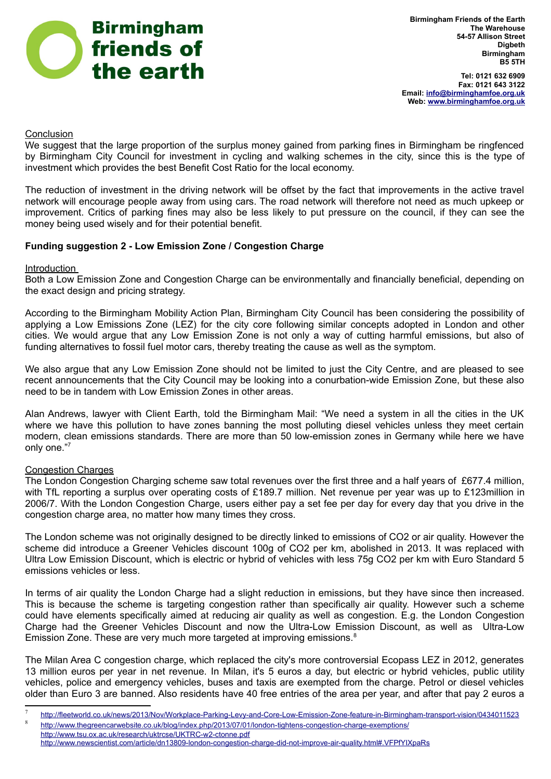

**Tel: 0121 632 6909 Fax: 0121 643 3122 Email: [info@birminghamfoe.org.uk](mailto:info@birminghamfoe.org.uk) Web: [www.birminghamfoe.org.uk](http://www.birminghamfoe.org.uk/)**

# **Conclusion**

We suggest that the large proportion of the surplus money gained from parking fines in Birmingham be ringfenced by Birmingham City Council for investment in cycling and walking schemes in the city, since this is the type of investment which provides the best Benefit Cost Ratio for the local economy.

The reduction of investment in the driving network will be offset by the fact that improvements in the active travel network will encourage people away from using cars. The road network will therefore not need as much upkeep or improvement. Critics of parking fines may also be less likely to put pressure on the council, if they can see the money being used wisely and for their potential benefit.

# **Funding suggestion 2 - Low Emission Zone / Congestion Charge**

## Introduction

Both a Low Emission Zone and Congestion Charge can be environmentally and financially beneficial, depending on the exact design and pricing strategy.

According to the Birmingham Mobility Action Plan, Birmingham City Council has been considering the possibility of applying a Low Emissions Zone (LEZ) for the city core following similar concepts adopted in London and other cities. We would argue that any Low Emission Zone is not only a way of cutting harmful emissions, but also of funding alternatives to fossil fuel motor cars, thereby treating the cause as well as the symptom.

We also argue that any Low Emission Zone should not be limited to just the City Centre, and are pleased to see recent announcements that the City Council may be looking into a conurbation-wide Emission Zone, but these also need to be in tandem with Low Emission Zones in other areas.

Alan Andrews, lawyer with Client Earth, told the Birmingham Mail: "We need a system in all the cities in the UK where we have this pollution to have zones banning the most polluting diesel vehicles unless they meet certain modern, clean emissions standards. There are more than 50 low-emission zones in Germany while here we have only one."[7](#page-2-0)

## Congestion Charges

The London Congestion Charging scheme saw total revenues over the first three and a half years of £677.4 million, with TfL reporting a surplus over operating costs of £189.7 million. Net revenue per year was up to £123million in 2006/7. With the London Congestion Charge, users either pay a set fee per day for every day that you drive in the congestion charge area, no matter how many times they cross.

The London scheme was not originally designed to be directly linked to emissions of CO2 or air quality. However the scheme did introduce a Greener Vehicles discount 100g of CO2 per km, abolished in 2013. It was replaced with Ultra Low Emission Discount, which is electric or hybrid of vehicles with less 75g CO2 per km with Euro Standard 5 emissions vehicles or less.

In terms of air quality the London Charge had a slight reduction in emissions, but they have since then increased. This is because the scheme is targeting congestion rather than specifically air quality. However such a scheme could have elements specifically aimed at reducing air quality as well as congestion. E.g. the London Congestion Charge had the Greener Vehicles Discount and now the Ultra-Low Emission Discount, as well as Ultra-Low Emission Zone. These are very much more targeted at improving emissions.<sup>[8](#page-2-1)</sup>

The Milan Area C congestion charge, which replaced the city's more controversial Ecopass LEZ in 2012, generates 13 million euros per year in net revenue. In Milan, it's 5 euros a day, but electric or hybrid vehicles, public utility vehicles, police and emergency vehicles, buses and taxis are exempted from the charge. Petrol or diesel vehicles older than Euro 3 are banned. Also residents have 40 free entries of the area per year, and after that pay 2 euros a

<span id="page-2-0"></span><sup>7</sup> <http://fleetworld.co.uk/news/2013/Nov/Workplace-Parking-Levy-and-Core-Low-Emission-Zone-feature-in-Birmingham-transport-vision/0434011523> 8

<span id="page-2-1"></span><http://www.thegreencarwebsite.co.uk/blog/index.php/2013/07/01/london-tightens-congestion-charge-exemptions/>

<http://www.tsu.ox.ac.uk/research/uktrcse/UKTRC-w2-ctonne.pdf> http://www.newscientist.com/article/dn13809-london-congestion-charge-did-not-improve-air-quality.html#.VFPfYIXpaRs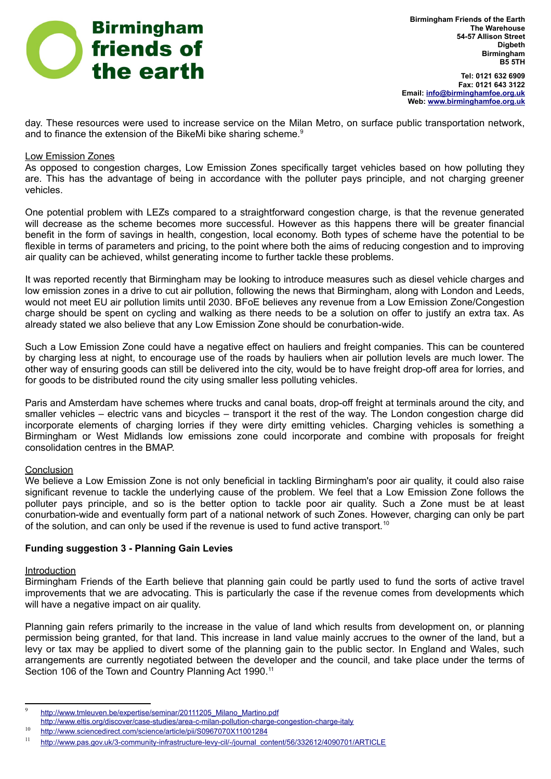

**Tel: 0121 632 6909 Fax: 0121 643 3122 Email: [info@birminghamfoe.org.uk](mailto:info@birminghamfoe.org.uk) Web: [www.birminghamfoe.org.uk](http://www.birminghamfoe.org.uk/)**

day. These resources were used to increase service on the Milan Metro, on surface public transportation network, and to finance the extension of the BikeMi bike sharing scheme.<sup>[9](#page-3-0)</sup>

## Low Emission Zones

As opposed to congestion charges, Low Emission Zones specifically target vehicles based on how polluting they are. This has the advantage of being in accordance with the polluter pays principle, and not charging greener vehicles.

One potential problem with LEZs compared to a straightforward congestion charge, is that the revenue generated will decrease as the scheme becomes more successful. However as this happens there will be greater financial benefit in the form of savings in health, congestion, local economy. Both types of scheme have the potential to be flexible in terms of parameters and pricing, to the point where both the aims of reducing congestion and to improving air quality can be achieved, whilst generating income to further tackle these problems.

It was reported recently that Birmingham may be looking to introduce measures such as diesel vehicle charges and low emission zones in a drive to cut air pollution, following the news that Birmingham, along with London and Leeds, would not meet EU air pollution limits until 2030. BFoE believes any revenue from a Low Emission Zone/Congestion charge should be spent on cycling and walking as there needs to be a solution on offer to justify an extra tax. As already stated we also believe that any Low Emission Zone should be conurbation-wide.

Such a Low Emission Zone could have a negative effect on hauliers and freight companies. This can be countered by charging less at night, to encourage use of the roads by hauliers when air pollution levels are much lower. The other way of ensuring goods can still be delivered into the city, would be to have freight drop-off area for lorries, and for goods to be distributed round the city using smaller less polluting vehicles.

Paris and Amsterdam have schemes where trucks and canal boats, drop-off freight at terminals around the city, and smaller vehicles – electric vans and bicycles – transport it the rest of the way. The London congestion charge did incorporate elements of charging lorries if they were dirty emitting vehicles. Charging vehicles is something a Birmingham or West Midlands low emissions zone could incorporate and combine with proposals for freight consolidation centres in the BMAP.

## Conclusion

We believe a Low Emission Zone is not only beneficial in tackling Birmingham's poor air quality, it could also raise significant revenue to tackle the underlying cause of the problem. We feel that a Low Emission Zone follows the polluter pays principle, and so is the better option to tackle poor air quality. Such a Zone must be at least conurbation-wide and eventually form part of a national network of such Zones. However, charging can only be part of the solution, and can only be used if the revenue is used to fund active transport.<sup>[10](#page-3-1)</sup>

## **Funding suggestion 3 - Planning Gain Levies**

### Introduction

Birmingham Friends of the Earth believe that planning gain could be partly used to fund the sorts of active travel improvements that we are advocating. This is particularly the case if the revenue comes from developments which will have a negative impact on air quality.

Planning gain refers primarily to the increase in the value of land which results from development on, or planning permission being granted, for that land. This increase in land value mainly accrues to the owner of the land, but a levy or tax may be applied to divert some of the planning gain to the public sector. In England and Wales, such arrangements are currently negotiated between the developer and the council, and take place under the terms of [Section 106 of the Town and Country Planning Act 1990.](https://en.wikipedia.org/wiki/Section_106)<sup>[11](#page-3-2)</sup>

<span id="page-3-0"></span><sup>9</sup> http://www.tmleuven.be/expertise/seminar/20111205\_Milano\_Martino.pdf

http://www.eltis.org/discover/case-studies/area-c-milan-pollution-charge-congestion-charge-italy

<span id="page-3-1"></span><sup>10</sup> <http://www.sciencedirect.com/science/article/pii/S0967070X11001284>

<span id="page-3-2"></span><sup>11</sup> [http://www.pas.gov.uk/3-community-infrastructure-levy-cil/-/journal\\_content/56/332612/4090701/ARTICLE](http://www.pas.gov.uk/3-community-infrastructure-levy-cil/-/journal_content/56/332612/4090701/ARTICLE)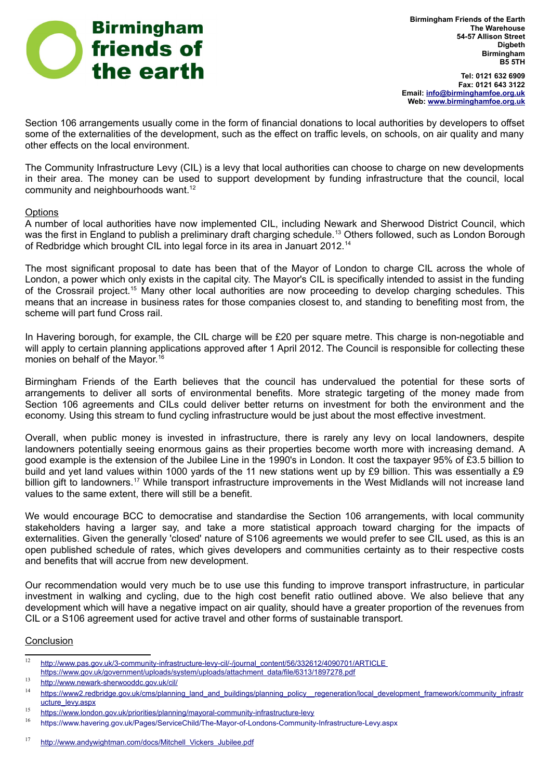

**Birmingham Friends of the Earth The Warehouse 54-57 Allison Street Digbeth Birmingham B5 5TH**

**Tel: 0121 632 6909 Fax: 0121 643 3122 Email: [info@birminghamfoe.org.uk](mailto:info@birminghamfoe.org.uk) Web: [www.birminghamfoe.org.uk](http://www.birminghamfoe.org.uk/)**

Section 106 arrangements usually come in the form of financial donations to local authorities by developers to offset some of the externalities of the development, such as the effect on traffic levels, on schools, on air quality and many other effects on the local environment.

The Community Infrastructure Levy (CIL) is a levy that local authorities can choose to charge on new developments in their area. The money can be used to support development by funding infrastructure that the council, local community and neighbourhoods want.<sup>[12](#page-4-0)</sup>

## **Options**

A number of local authorities have now implemented CIL, including Newark and Sherwood District Council, which was the first in England to publish a preliminary draft charging schedule.<sup>[13](#page-4-1)</sup> Others followed, such as London Borough of Redbridge which brought CIL into legal force in its area in Januart 2012.[14](#page-4-2)

The most significant proposal to date has been that of the Mayor of London to charge CIL across the whole of London, a power which only exists in the capital city. The Mayor's CIL is specifically intended to assist in the funding of the Crossrail project.[15](#page-4-3) Many other local authorities are now proceeding to develop charging schedules. This means that an increase in business rates for those companies closest to, and standing to benefiting most from, the scheme will part fund Cross rail.

In Havering borough, for example, the CIL charge will be £20 per square metre. This charge is non-negotiable and will apply to certain planning applications approved after 1 April 2012. The Council is responsible for collecting these monies on behalf of the Mayor.[16](#page-4-4)

Birmingham Friends of the Earth believes that the council has undervalued the potential for these sorts of arrangements to deliver all sorts of environmental benefits. More strategic targeting of the money made from Section 106 agreements and CILs could deliver better returns on investment for both the environment and the economy. Using this stream to fund cycling infrastructure would be just about the most effective investment.

Overall, when public money is invested in infrastructure, there is rarely any levy on local landowners, despite landowners potentially seeing enormous gains as their properties become worth more with increasing demand. A good example is the extension of the Jubilee Line in the 1990's in London. It cost the taxpayer 95% of £3.5 billion to build and yet land values within 1000 yards of the 11 new stations went up by £9 billion. This was essentially a £9 billion gift to landowners.<sup>[17](#page-4-5)</sup> While transport infrastructure improvements in the West Midlands will not increase land values to the same extent, there will still be a benefit.

We would encourage BCC to democratise and standardise the Section 106 arrangements, with local community stakeholders having a larger say, and take a more statistical approach toward charging for the impacts of externalities. Given the generally 'closed' nature of S106 agreements we would prefer to see CIL used, as this is an open published schedule of rates, which gives developers and communities certainty as to their respective costs and benefits that will accrue from new development.

Our recommendation would very much be to use use this funding to improve transport infrastructure, in particular investment in walking and cycling, due to the high cost benefit ratio outlined above. We also believe that any development which will have a negative impact on air quality, should have a greater proportion of the revenues from CIL or a S106 agreement used for active travel and other forms of sustainable transport.

### **Conclusion**

<span id="page-4-0"></span><sup>12</sup> http://www.pas.gov.uk/3-community-infrastructure-levy-cil/-/journal\_content/56/332612/4090701/ARTICLE https://www.gov.uk/government/uploads/system/uploads/attachment\_data/file/6313/1897278.pdf

<span id="page-4-1"></span><sup>13</sup> <http://www.newark-sherwooddc.gov.uk/cil/>

<span id="page-4-2"></span><sup>&</sup>lt;sup>14</sup> [https://www2.redbridge.gov.uk/cms/planning\\_land\\_and\\_buildings/planning\\_policy\\_\\_regeneration/local\\_development\\_framework/community\\_infrastr](https://www2.redbridge.gov.uk/cms/planning_land_and_buildings/planning_policy__regeneration/local_development_framework/community_infrastructure_levy.aspx) [ucture\\_levy.aspx](https://www2.redbridge.gov.uk/cms/planning_land_and_buildings/planning_policy__regeneration/local_development_framework/community_infrastructure_levy.aspx)

<span id="page-4-3"></span><sup>15</sup> <https://www.london.gov.uk/priorities/planning/mayoral-community-infrastructure-levy>

<span id="page-4-4"></span><sup>16</sup> <https://www.havering.gov.uk/Pages/ServiceChild/The-Mayor-of-Londons-Community-Infrastructure-Levy.aspx>

<span id="page-4-5"></span><sup>17</sup> http://www.andywightman.com/docs/Mitchell\_Vickers\_Jubilee.pdf